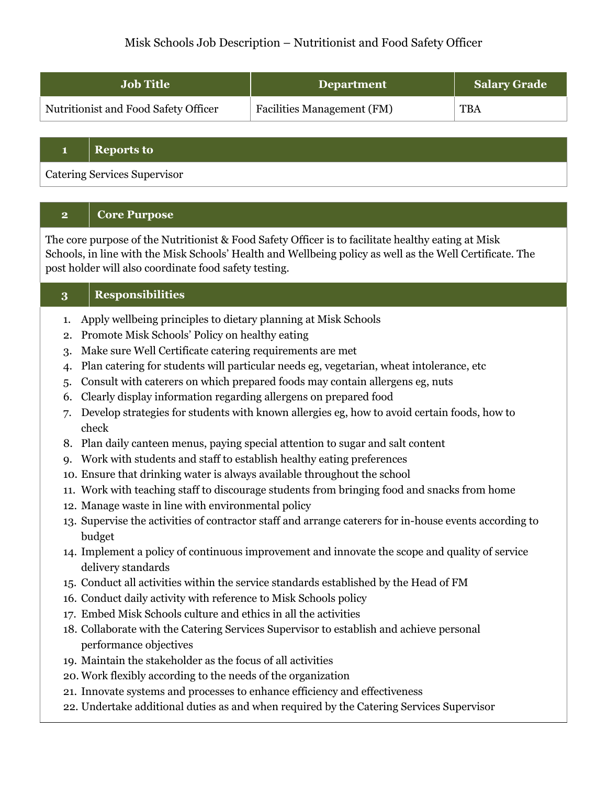# Misk Schools Job Description – Nutritionist and Food Safety Officer

| <b>Job Title</b>                     | <b>Department</b>                 | <b>Salary Grade</b> |
|--------------------------------------|-----------------------------------|---------------------|
| Nutritionist and Food Safety Officer | <b>Facilities Management (FM)</b> | <b>TBA</b>          |

## **1 Reports to**

Catering Services Supervisor

## **2 Core Purpose**

The core purpose of the Nutritionist & Food Safety Officer is to facilitate healthy eating at Misk Schools, in line with the Misk Schools' Health and Wellbeing policy as well as the Well Certificate. The post holder will also coordinate food safety testing.

## **3 Responsibilities**

- 1. Apply wellbeing principles to dietary planning at Misk Schools
- 2. Promote Misk Schools' Policy on healthy eating
- 3. Make sure Well Certificate catering requirements are met
- 4. Plan catering for students will particular needs eg, vegetarian, wheat intolerance, etc
- 5. Consult with caterers on which prepared foods may contain allergens eg, nuts
- 6. Clearly display information regarding allergens on prepared food
- 7. Develop strategies for students with known allergies eg, how to avoid certain foods, how to check
- 8. Plan daily canteen menus, paying special attention to sugar and salt content
- 9. Work with students and staff to establish healthy eating preferences
- 10. Ensure that drinking water is always available throughout the school
- 11. Work with teaching staff to discourage students from bringing food and snacks from home
- 12. Manage waste in line with environmental policy
- 13. Supervise the activities of contractor staff and arrange caterers for in-house events according to budget
- 14. Implement a policy of continuous improvement and innovate the scope and quality of service delivery standards
- 15. Conduct all activities within the service standards established by the Head of FM
- 16. Conduct daily activity with reference to Misk Schools policy
- 17. Embed Misk Schools culture and ethics in all the activities
- 18. Collaborate with the Catering Services Supervisor to establish and achieve personal performance objectives
- 19. Maintain the stakeholder as the focus of all activities
- 20. Work flexibly according to the needs of the organization
- 21. Innovate systems and processes to enhance efficiency and effectiveness
- 22. Undertake additional duties as and when required by the Catering Services Supervisor